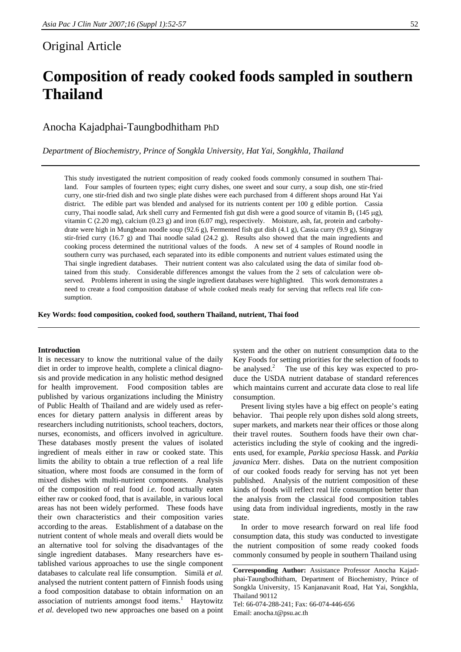## Original Article

# **Composition of ready cooked foods sampled in southern Thailand**

Anocha Kajadphai-Taungbodhitham PhD

*Department of Biochemistry, Prince of Songkla University, Hat Yai, Songkhla, Thailand* 

This study investigated the nutrient composition of ready cooked foods commonly consumed in southern Thailand. Four samples of fourteen types; eight curry dishes, one sweet and sour curry, a soup dish, one stir-fried curry, one stir-fried dish and two single plate dishes were each purchased from 4 different shops around Hat Yai district. The edible part was blended and analysed for its nutrients content per 100 g edible portion. Cassia curry, Thai noodle salad, Ark shell curry and Fermented fish gut dish were a good source of vitamin  $B_1$  (145 µg), vitamin C (2.20 mg), calcium (0.23 g) and iron (6.07 mg), respectively. Moisture, ash, fat, protein and carbohydrate were high in Mungbean noodle soup (92.6 g), Fermented fish gut dish (4.1 g), Cassia curry (9.9 g), Stingray stir-fried curry (16.7 g) and Thai noodle salad (24.2 g). Results also showed that the main ingredients and cooking process determined the nutritional values of the foods. A new set of 4 samples of Round noodle in southern curry was purchased, each separated into its edible components and nutrient values estimated using the Thai single ingredient databases. Their nutrient content was also calculated using the data of similar food obtained from this study. Considerable differences amongst the values from the 2 sets of calculation were observed. Problems inherent in using the single ingredient databases were highlighted. This work demonstrates a need to create a food composition database of whole cooked meals ready for serving that reflects real life consumption.

**Key Words: food composition, cooked food, southern Thailand, nutrient, Thai food** 

#### **Introduction**

It is necessary to know the nutritional value of the daily diet in order to improve health, complete a clinical diagnosis and provide medication in any holistic method designed for health improvement. Food composition tables are published by various organizations including the Ministry of Public Health of Thailand and are widely used as references for dietary pattern analysis in different areas by researchers including nutritionists, school teachers, doctors, nurses, economists, and officers involved in agriculture. These databases mostly present the values of isolated ingredient of meals either in raw or cooked state. This limits the ability to obtain a true reflection of a real life situation, where most foods are consumed in the form of mixed dishes with multi-nutrient components. Analysis of the composition of real food *i.e.* food actually eaten either raw or cooked food, that is available, in various local areas has not been widely performed. These foods have their own characteristics and their composition varies according to the areas. Establishment of a database on the nutrient content of whole meals and overall diets would be an alternative tool for solving the disadvantages of the single ingredient databases. Many researchers have established various approaches to use the single component databases to calculate real life consumption. Similä *et al.*  analysed the nutrient content pattern of Finnish foods using a food composition database to obtain information on an association of nutrients amongst food items.<sup>1</sup> Haytowitz *et al.* developed two new approaches one based on a point

system and the other on nutrient consumption data to the Key Foods for setting priorities for the selection of foods to be analysed.<sup>2</sup> The use of this key was expected to produce the USDA nutrient database of standard references which maintains current and accurate data close to real life consumption.

 Present living styles have a big effect on people's eating behavior. Thai people rely upon dishes sold along streets, super markets, and markets near their offices or those along their travel routes. Southern foods have their own characteristics including the style of cooking and the ingredients used, for example, *Parkia speciosa* Hassk. and *Parkia javanica* Merr. dishes. Data on the nutrient composition of our cooked foods ready for serving has not yet been published. Analysis of the nutrient composition of these kinds of foods will reflect real life consumption better than the analysis from the classical food composition tables using data from individual ingredients, mostly in the raw state.

 In order to move research forward on real life food consumption data, this study was conducted to investigate the nutrient composition of some ready cooked foods commonly consumed by people in southern Thailand using

Email: anocha.t@psu.ac.th

**Corresponding Author:** Assistance Professor Anocha Kajadphai-Taungbodhitham, Department of Biochemistry, Prince of Songkla University, 15 Kanjanavanit Road, Hat Yai, Songkhla, Thailand 90112 Tel: 66-074-288-241; Fax: 66-074-446-656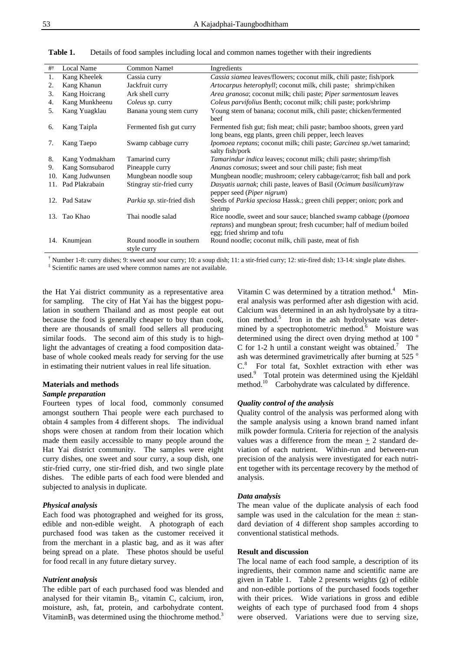| #   | Local Name      | Common Name <sup>#</sup>                | Ingredients                                                                                                                                                                       |
|-----|-----------------|-----------------------------------------|-----------------------------------------------------------------------------------------------------------------------------------------------------------------------------------|
| 1.  | Kang Kheelek    | Cassia curry                            | Cassia siamea leaves/flowers; coconut milk, chili paste; fish/pork                                                                                                                |
| 2.  | Kang Khanun     | Jackfruit curry                         | Artocarpus heterophyll; coconut milk, chili paste; shrimp/chiken                                                                                                                  |
| 3.  | Kang Hoicrang   | Ark shell curry                         | Area granosa; coconut milk; chili paste; Piper sarmentosum leaves                                                                                                                 |
| 4.  | Kang Munkheenu  | Coleus sp. curry                        | <i>Coleus parvifolius</i> Benth; coconut milk; chili paste; pork/shrimp                                                                                                           |
| 5.  | Kang Yuagklau   | Banana young stem curry                 | Young stem of banana; coconut milk, chili paste; chicken/fermented<br>beef                                                                                                        |
| 6.  | Kang Taipla     | Fermented fish gut curry                | Fermented fish gut; fish meat; chili paste; bamboo shoots, green yard<br>long beans, egg plants, green chili pepper, leech leaves                                                 |
| 7.  | Kang Taepo      | Swamp cabbage curry                     | Ipomoea reptans; coconut milk; chili paste; Garcinea sp./wet tamarind;<br>salty fish/pork                                                                                         |
| 8.  | Kang Yodmakham  | Tamarind curry                          | Tamarindur indica leaves; coconut milk; chili paste; shrimp/fish                                                                                                                  |
| 9.  | Kang Somsubarod | Pineapple curry                         | Ananas comosus; sweet and sour chili paste; fish meat                                                                                                                             |
| 10. | Kang Judwunsen  | Mungbean noodle soup                    | Mungbean noodle; mushroom; celery cabbage/carrot; fish ball and pork                                                                                                              |
| 11. | Pad Plakrabain  | Stingray stir-fried curry               | Dasyatis uarnak; chili paste, leaves of Basil (Ocimum basilicum)/raw<br>pepper seed ( <i>Piper nigrum</i> )                                                                       |
|     | 12. Pad Sataw   | Parkia sp. stir-fried dish              | Seeds of <i>Parkia speciosa</i> Hassk.; green chili pepper; onion; pork and<br>shrimp                                                                                             |
| 13. | Tao Khao        | Thai noodle salad                       | Rice noodle, sweet and sour sauce; blanched swamp cabbage ( <i>Ipomoea</i> )<br>reptans) and mungbean sprout; fresh cucumber; half of medium boiled<br>egg; fried shrimp and tofu |
| 14. | Knumjean        | Round noodle in southern<br>style curry | Round noodle; coconut milk, chili paste, meat of fish                                                                                                                             |

**Table 1.** Details of food samples including local and common names together with their ingredients

† Number 1-8: curry dishes; 9: sweet and sour curry; 10: a soup dish; 11: a stir-fried curry; 12: stir-fired dish; 13-14: single plate dishes. ‡ Scientific names are used where common names are not available.

the Hat Yai district community as a representative area for sampling. The city of Hat Yai has the biggest population in southern Thailand and as most people eat out because the food is generally cheaper to buy than cook, there are thousands of small food sellers all producing similar foods. The second aim of this study is to highlight the advantages of creating a food composition database of whole cooked meals ready for serving for the use in estimating their nutrient values in real life situation.

### **Materials and methods**

#### *Sample preparation*

Fourteen types of local food, commonly consumed amongst southern Thai people were each purchased to obtain 4 samples from 4 different shops. The individual shops were chosen at random from their location which made them easily accessible to many people around the Hat Yai district community. The samples were eight curry dishes, one sweet and sour curry, a soup dish, one stir-fried curry, one stir-fried dish, and two single plate dishes. The edible parts of each food were blended and subjected to analysis in duplicate.

#### *Physical analysis*

Each food was photographed and weighed for its gross, edible and non-edible weight. A photograph of each purchased food was taken as the customer received it from the merchant in a plastic bag, and as it was after being spread on a plate. These photos should be useful for food recall in any future dietary survey.

#### *Nutrient analysis*

The edible part of each purchased food was blended and analysed for their vitamin  $B_1$ , vitamin C, calcium, iron, moisture, ash, fat, protein, and carbohydrate content. Vitamin $B_1$  was determined using the thiochrome method.<sup>3</sup>

Vitamin C was determined by a titration method. $4$  Mineral analysis was performed after ash digestion with acid. Calcium was determined in an ash hydrolysate by a titration method.<sup>5</sup> Iron in the ash hydrolysate was determined by a spectrophotometric method.<sup>6</sup> Moisture was determined using the direct oven drying method at 100 $^{\circ}$ C for 1-2 h until a constant weight was obtained.<sup>7</sup> The ash was determined gravimetrically after burning at 525 ° C.<sup>8</sup> For total fat, Soxhlet extraction with ether was used.<sup>9</sup> Total protein was determined using the Kjeldähl method.<sup>10</sup> Carbohydrate was calculated by difference.

#### *Quality control of the analysis*

Quality control of the analysis was performed along with the sample analysis using a known brand named infant milk powder formula. Criteria for rejection of the analysis values was a difference from the mean + 2 standard deviation of each nutrient. Within-run and between-run precision of the analysis were investigated for each nutrient together with its percentage recovery by the method of analysis.

#### *Data analysis*

The mean value of the duplicate analysis of each food sample was used in the calculation for the mean  $\pm$  standard deviation of 4 different shop samples according to conventional statistical methods.

#### **Result and discussion**

The local name of each food sample, a description of its ingredients, their common name and scientific name are given in Table 1. Table 2 presents weights (g) of edible and non-edible portions of the purchased foods together with their prices. Wide variations in gross and edible weights of each type of purchased food from 4 shops were observed. Variations were due to serving size,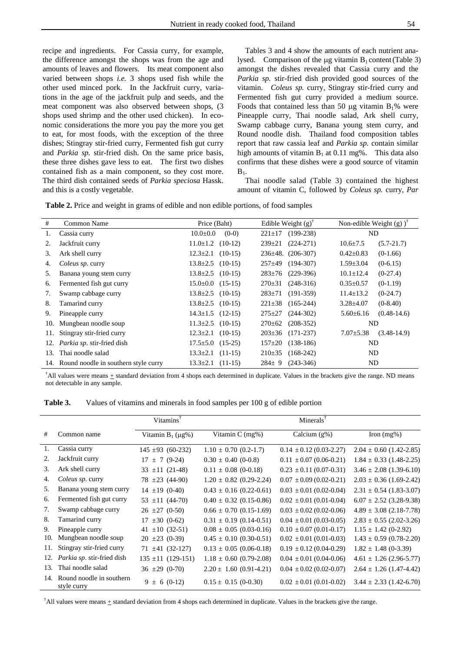recipe and ingredients. For Cassia curry, for example, the difference amongst the shops was from the age and amounts of leaves and flowers. Its meat component also varied between shops *i.e.* 3 shops used fish while the other used minced pork. In the Jackfruit curry, variations in the age of the jackfruit pulp and seeds, and the meat component was also observed between shops, (3 shops used shrimp and the other used chicken). In economic considerations the more you pay the more you get to eat, for most foods, with the exception of the three dishes; Stingray stir-fried curry, Fermented fish gut curry and *Parkia sp.* stir-fried dish. On the same price basis, these three dishes gave less to eat. The first two dishes contained fish as a main component, so they cost more. The third dish contained seeds of *Parkia speciosa* Hassk. and this is a costly vegetable.

 Tables 3 and 4 show the amounts of each nutrient analysed. Comparison of the μg vitamin  $B_1$  content (Table 3) amongst the dishes revealed that Cassia curry and the *Parkia sp.* stir-fried dish provided good sources of the vitamin. *Coleus sp.* curry, Stingray stir-fried curry and Fermented fish gut curry provided a medium source. Foods that contained less than 50 μg vitamin  $B_1$ % were Pineapple curry, Thai noodle salad, Ark shell curry, Swamp cabbage curry, Banana young stem curry, and Round noodle dish. Thailand food composition tables report that raw cassia leaf and *Parkia sp.* contain similar high amounts of vitamin  $B_1$  at 0.11 mg%. This data also confirms that these dishes were a good source of vitamin  $B_1$ .

 Thai noodle salad (Table 3) contained the highest amount of vitamin C, followed by *Coleus sp.* curry, *Par*

| <b>Table 2.</b> Price and weight in grams of edible and non edible portions, of food samples |  |  |
|----------------------------------------------------------------------------------------------|--|--|
|                                                                                              |  |  |

| #   | Common Name                              | Price (Baht)              | Edible Weight $(g)$ <sup>T</sup> | Non-edible Weight $(g)$ )        |  |
|-----|------------------------------------------|---------------------------|----------------------------------|----------------------------------|--|
| 1.  | Cassia curry                             | $(0-0)$<br>$10.0 \pm 0.0$ | $(199-238)$<br>$221 \pm 17$      | ND                               |  |
| 2.  | Jackfruit curry                          | $11.0 \pm 1.2$ (10-12)    | $239 \pm 21$<br>$(224-271)$      | $(5.7 - 21.7)$<br>$10.6 \pm 7.5$ |  |
| 3.  | Ark shell curry                          | $12.3 \pm 2.1$ (10-15)    | $236\pm48.$ (206-307)            | $0.42 \pm 0.83$<br>$(0-1.66)$    |  |
| 4.  | <i>Coleus sp.</i> curry                  | $13.8 \pm 2.5$ (10-15)    | $257 \pm 49$<br>$(194-307)$      | $1.59 \pm 3.04$<br>$(0-6.15)$    |  |
| 5.  | Banana young stem curry                  | $13.8 \pm 2.5$ (10-15)    | $(229-396)$<br>$283 \pm 76$      | $10.1 \pm 12.4$<br>$(0-27.4)$    |  |
| 6.  | Fermented fish gut curry                 | $15.0 \pm 0.0$ $(15-15)$  | $(248-316)$<br>$270 \pm 31$      | $0.35 \pm 0.57$<br>$(0-1.19)$    |  |
| 7.  | Swamp cabbage curry                      | $13.8 \pm 2.5$ (10-15)    | $(191-359)$<br>$283 \pm 71$      | $11.4 \pm 13.2$<br>$(0-24.7)$    |  |
| 8.  | Tamarind curry                           | $13.8 \pm 2.5$ (10-15)    | $221 \pm 38$<br>$(165-244)$      | $3.28 \pm 4.07$<br>$(0-8.40)$    |  |
| 9.  | Pineapple curry                          | $14.3 \pm 1.5$ (12-15)    | $275 \pm 27$<br>$(244-302)$      | $(0.48-14.6)$<br>$5.60 \pm 6.16$ |  |
| 10. | Mungbean noodle soup                     | $11.3 \pm 2.5$ (10-15)    | $270 \pm 62$<br>$(208-352)$      | ND.                              |  |
| 11. | Stingray stir-fried curry                | $12.3 \pm 2.1$ (10-15)    | $203 \pm 36$<br>$(171-237)$      | $(3.48-14.9)$<br>$7.07 \pm 5.38$ |  |
| 12. | <i>Parkia sp.</i> stir-fried dish        | $17.5 \pm 5.0$ (15-25)    | $(138-186)$<br>$157 \pm 20$      | ND                               |  |
| 13. | Thai noodle salad                        | $13.3 \pm 2.1$ (11-15)    | $210\pm 35$<br>$(168-242)$       | ND                               |  |
|     | 14. Round noodle in southern style curry | $13.3 \pm 2.1$ (11-15)    | $(243-346)$<br>$284 \pm 9$       | ND                               |  |

<sup>†</sup>All values were means  $\pm$  standard deviation from 4 shops each determined in duplicate. Values in the brackets give the range. ND means not detectable in any sample.

**Table 3.** Values of vitamins and minerals in food samples per 100 g of edible portion

|     |                                         | Vitamins <sup>†</sup>  | Minerals <sup><math>\dagger</math></sup> |                               |                             |  |  |  |
|-----|-----------------------------------------|------------------------|------------------------------------------|-------------------------------|-----------------------------|--|--|--|
| #   | Common name                             | Vitamin $B_1(\mu g\%)$ | Vitamin $C$ (mg%)                        | Calcium $(g\%)$               | Iron $(mg\%)$               |  |  |  |
| 1.  | Cassia curry                            | $145 \pm 93$ (60-232)  | $1.10 \pm 0.70$ (0.2-1.7)                | $0.14 \pm 0.12$ (0.03-2.27)   | $2.04 \pm 0.60$ (1.42-2.85) |  |  |  |
| 2.  | Jackfruit curry                         | $\pm$ 7 (9-24)<br>17   | $0.30 \pm 0.40$ (0-0.8)                  | $0.11 \pm 0.07$ (0.06-0.21)   | $1.84 \pm 0.33$ (1.48-2.25) |  |  |  |
| 3.  | Ark shell curry                         | $33 \pm 11$ (21-48)    | $0.11 \pm 0.08$ (0-0.18)                 | $0.23 \pm 0.11 (0.07 - 0.31)$ | $3.46 \pm 2.08$ (1.39-6.10) |  |  |  |
| 4.  | Coleus sp. curry                        | $78 \pm 23 (44-90)$    | $1.20 \pm 0.82$ (0.29-2.24)              | $0.07 \pm 0.09$ (0.02-0.21)   | $2.03 \pm 0.36$ (1.69-2.42) |  |  |  |
| 5.  | Banana young stem curry                 | $14 \pm 19$ (0-40)     | $0.43 \pm 0.16$ (0.22-0.61)              | $0.03 \pm 0.01$ (0.02-0.04)   | $2.31 \pm 0.54$ (1.83-3.07) |  |  |  |
| 6.  | Fermented fish gut curry                | $53 \pm 11 (44 - 70)$  | $0.40 \pm 0.32$ (0.15-0.86)              | $0.02 \pm 0.01$ (0.01-0.04)   | $6.07 \pm 2.52$ (3.28-9.38) |  |  |  |
| 7.  | Swamp cabbage curry                     | $26 \pm 27$ (0-50)     | $0.66 \pm 0.70$ (0.15-1.69)              | $0.03 \pm 0.02$ (0.02-0.06)   | $4.89 \pm 3.08$ (2.18-7.78) |  |  |  |
| 8.  | Tamarind curry                          | $17 \pm 30 (0-62)$     | $0.31 \pm 0.19$ (0.14-0.51)              | $0.04 \pm 0.01$ (0.03-0.05)   | $2.83 \pm 0.55$ (2.02-3.26) |  |  |  |
| 9.  | Pineapple curry                         | $\pm 10$ (32-51)<br>41 | $0.08 \pm 0.05$ (0.03-0.16)              | $0.10 \pm 0.07$ (0.01-0.17)   | $1.15 \pm 1.42$ (0-2.92)    |  |  |  |
| 10. | Mungbean noodle soup                    | $20 \pm 23 (0-39)$     | $0.45 \pm 0.10$ (0.30-0.51)              | $0.02 \pm 0.01 (0.01 - 0.03)$ | $1.43 \pm 0.59$ (0.78-2.20) |  |  |  |
| 11. | Stingray stir-fried curry               | $71 \pm 41 (32-127)$   | $0.13 \pm 0.05$ (0.06-0.18)              | $0.19 \pm 0.12$ (0.04-0.29)   | $1.82 \pm 1.48$ (0-3.39)    |  |  |  |
| 12. | <i>Parkia sp.</i> stir-fried dish       | $135 \pm 11$ (129-151) | $1.18 \pm 0.60$ (0.79-2.08)              | $0.04 \pm 0.01$ (0.04-0.06)   | $4.61 \pm 1.26$ (2.96-5.77) |  |  |  |
| 13. | Thai noodle salad                       | $36 \pm 29 (0-70)$     | $2.20 \pm 1.60$ (0.91-4.21)              | $0.04 \pm 0.02$ (0.02-0.07)   | $2.64 \pm 1.26$ (1.47-4.42) |  |  |  |
| 14. | Round noodle in southern<br>style curry | $9 \pm 6 (0-12)$       | $0.15 \pm 0.15$ (0-0.30)                 | $0.02 \pm 0.01$ (0.01-0.02)   | $3.44 \pm 2.33$ (1.42-6.70) |  |  |  |

<sup>†</sup>All values were means  $\pm$  standard deviation from 4 shops each determined in duplicate. Values in the brackets give the range.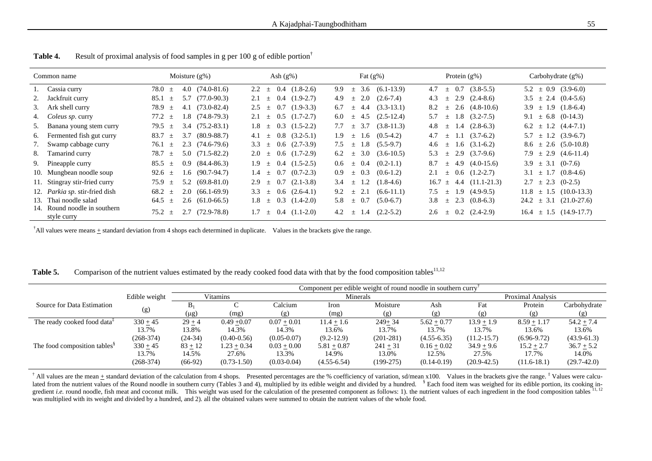| Common name |                                             | Moisture $(g\%)$                                     | Ash $(g\%)$                          | Fat $(g\%)$                                    | Protein $(g\%)$                         | Carbohydrate $(g\%)$          |
|-------------|---------------------------------------------|------------------------------------------------------|--------------------------------------|------------------------------------------------|-----------------------------------------|-------------------------------|
|             | 1. Cassia curry                             | $(74.0 - 81.6)$<br>78.0<br>4.0<br>$\pm$              | 0.4<br>$(1.8-2.6)$<br>2.2<br>$\pm$   | $(6.1-13.9)$<br>9.9<br>3.6<br>$\pm$            | $(3.8-5.5)$<br>4.7<br>0.7<br>$\pm$      | $5.2 \pm 0.9$ (3.9-6.0)       |
|             | Jackfruit curry                             | $(77.0 - 90.3)$<br>85.1<br>5.7<br>土                  | $0.4$ $(1.9-2.7)$<br>2.1<br>士        | 2.0<br>$(2.6-7.4)$<br>4.9<br>$\pm$             | $2.9$ $(2.4-8.6)$<br>4.3<br>$\pm$       | $3.5 \pm 2.4 \ (0.4-5.6)$     |
|             | 3. Ark shell curry                          | 78.9<br>$(73.0 - 82.4)$<br>4.1<br>$\pm$              | $(1.9-3.3)$<br>2.5<br>0.7<br>士       | $(3.3-13.1)$<br>6.7<br>4.4<br>$\pm$            | $2.6$ $(4.8-10.6)$<br>8.2<br>士          | $3.9 \pm 1.9$ $(1.8-6.4)$     |
|             | 4. Coleus sp. curry                         | 77.2<br>$1.8$ $(74.8-79.3)$<br>$\pm$                 | $(1.7 - 2.7)$<br>0.5<br>2.1<br>$\pm$ | $(2.5-12.4)$<br>6.0<br>4.5<br>$\pm$            | $(3.2 - 7.5)$<br>5.7<br>1.8<br>$\pm$    | 9.1 $\pm$ 6.8 (0-14.3)        |
|             | 5. Banana young stem curry                  | $3.4$ $(75.2 - 83.1)$<br>79.5<br>$\pm$               | $0.3$ $(1.5-2.2)$<br>1.8<br>士        | $(3.8-11.3)$<br>3.7<br>7.7<br>$+$              | $(2.8-6.3)$<br>4.8<br>1.4<br>$\pm$      | $6.2 \pm 1.2$ $(4.4-7.1)$     |
|             | 6. Fermented fish gut curry                 | 83.7<br>$(80.9 - 88.7)$<br>3.7<br>$\pm$              | $\pm$ 0.8 (3.2-5.1)<br>4.1           | $(0.5-4.2)$<br>1.9<br>1.6<br>$\pm$             | $(3.7-6.2)$<br>4.7<br>$\pm$             | $\pm$ 1.2 (3.9-6.7)<br>5.7    |
|             | 7. Swamp cabbage curry                      | 76.1<br>2.3<br>$(74.6 - 79.6)$<br>$\pm$              | $0.6$ $(2.7-3.9)$<br>3.3<br>土        | $(5.5-9.7)$<br>7.5<br>l.8<br>士                 | $1.6$ $(3.1-6.2)$<br>4.6<br>土           | $8.6 \pm 2.6 \ (5.0-10.8)$    |
|             | 8. Tamarind curry                           | 78.7<br>$(71.5 - 82.2)$<br>5.0<br>$\pm$              | $0.6$ $(1.7-2.9)$<br>2.0<br>土        | 3.0<br>$(3.6-10.5)$<br>6.2<br>$\pm$            | $(3.7-9.6)$<br>2.9<br>5.3<br>$\pm$      | $7.9 \pm 2.9 \ (4.6-11.4)$    |
|             | 9. Pineapple curry                          | 85.5<br>$(84.4 - 86.3)$<br>0.9 <sub>z</sub><br>$\pm$ | $0.4$ $(1.5-2.5)$<br>1.9<br>土        | $(0.2-1.1)$<br>$\pm$ 0.4<br>0.6                | 4.9 $(4.0-15.6)$<br>8.7<br>$+$          | $3.9 \pm 3.1 \ (0-7.6)$       |
|             | 10. Mungbean noodle soup                    | $1.6$ (90.7-94.7)<br>92.6 $\pm$                      | $(0.7-2.3)$<br>1.4<br>0.7<br>$\pm$   | 0.9<br>$\pm$ 0.3<br>$(0.6-1.2)$                | $\pm$ 0.6 (1.2-2.7)<br>2.1              | $3.1 \pm 1.7$ $(0.8-4.6)$     |
|             | 11. Stingray stir-fried curry               | $(69.8 - 81.0)$<br>75.9<br>5.2<br>$\pm$              | $(2.1 - 3.8)$<br>0.7<br>2.9<br>士     | $(1.8-4.6)$<br>3.4<br>1.2<br>$\pm$             | $(11.1 - 21.3)$<br>16.7<br>4.4<br>$\pm$ | $(0-2.5)$<br>$\pm$ 2.3<br>2.7 |
|             | 12. Parkia sp. stir-fried dish              | $2.0(66.1-69.9)$<br>68.2<br>$\pm$                    | $\pm$ 0.6 (2.6-4.1)<br>3.3           | 2.1<br>$(6.6-11.1)$<br>9.2<br>$+$              | $(4.9-9.5)$<br>7.5<br>1.9<br>$\pm$      | $\pm$ 1.5 (10.0-13.3)<br>11.8 |
|             | 13. Thai noodle salad                       | $2.6$ $(61.0-66.5)$<br>64.5<br>士                     | $0.3$ $(1.4-2.0)$<br>1.8<br>士        | 0.7<br>$(5.0-6.7)$<br>5.8<br>士                 | 2.3<br>$(0.8-6.3)$<br>3.8<br>士          | $\pm$ 3.1 (21.0-27.6)<br>24.2 |
|             | 14. Round noodle in southern<br>style curry | $(72.9 - 78.8)$<br>75.2<br>2.7<br>士                  | $0.4$ $(1.1-2.0)$<br>1.7<br>士        | $(2.2 - 5.2)$<br>4.2<br>$\mathfrak{t}$ .4<br>土 | $\pm$ 0.2 (2.4-2.9)<br>2.6              | $16.4 \pm 1.5$ (14.9-17.7)    |

Table 4. Result of proximal analysis of food samples in g per 100 g of edible portion<sup>†</sup>

<sup>†</sup>All values were means  $\pm$  standard deviation from 4 shops each determined in duplicate. Values in the brackets give the range.

Table 5. Comparison of the nutrient values estimated by the ready cooked food data with that by the food composition tables<sup>11,12</sup>

|                                          |               | Component per edible weight of round noodle in southern curry |                 |                 |                 |             |                          |                  |               |                 |
|------------------------------------------|---------------|---------------------------------------------------------------|-----------------|-----------------|-----------------|-------------|--------------------------|------------------|---------------|-----------------|
|                                          | Edible weight | Vitamins                                                      |                 | Minerals        |                 |             | <b>Proximal Analysis</b> |                  |               |                 |
| Source for Data Estimation               |               | $B_1$                                                         |                 | Calcium         | Iron            | Moisture    | Ash                      | Fat              | Protein       | Carbohydrate    |
|                                          | (g)           | (µg)                                                          | (mg)            | ( g )           | (mg)            | (g)         | (g)                      | $(\overline{g})$ | (g)           | (g)             |
| The ready cooked food data <sup>+</sup>  | $330 + 45$    | $29 + 4$                                                      | $0.49 + 0.07$   | $0.07 + 0.01$   | $11.4 + 1.6$    | $249+34$    | $5.62 + 0.77$            | $13.9 + 1.9$     | $8.59 + 1.17$ | $54.2 + 7.4$    |
|                                          | 13.7%         | 13.8%                                                         | 14.3%           | 14.3%           | 13.6%           | 13.7%       | 13.7%                    | 13.7%            | 13.6%         | 13.6%           |
|                                          | $(268-374)$   | $(24-34)$                                                     | $(0.40 - 0.56)$ | $(0.05 - 0.07)$ | $(9.2-12.9)$    | $(201-281)$ | $(4.55 - 6.35)$          | $(11.2 - 15.7)$  | $(6.96-9.72)$ | $(43.9 - 61.3)$ |
| The food composition tables <sup>§</sup> | $330 + 45$    | $83 + 12$                                                     | $1.23 + 0.34$   | $0.03 + 0.00$   | $5.81 + 0.87$   | $241 + 31$  | $0.16 + 0.02$            | $34.9 + 9.6$     | $15.2 + 2.7$  | $36.7 + 5.2$    |
|                                          | 13.7%         | 14.5%                                                         | 27.6%           | 13.3%           | 14.9%           | 13.0%       | 12.5%                    | 27.5%            | 17.7%         | 14.0%           |
|                                          | $(268-374)$   | $(66-92)$                                                     | $(0.73 - 1.50)$ | $(0.03 - 0.04)$ | $(4.55 - 6.54)$ | $(199-275)$ | $(0.14 - 0.19)$          | $(20.9 - 42.5)$  | $(11.6-18.1)$ | $(29.7 - 42.0)$ |

<sup>†</sup> All values are the mean  $\pm$  standard deviation of the calculation from 4 shops. Presented percentages are the % coefficiency of variation, sd/mean x100. Values in the brackets give the range.  $\ddot{\cdot}$  Values were cal lated from the nutrient values of the Round noodle in southern curry (Tables 3 and 4), multiplied by its edible weight and divided by a hundred. <sup>§</sup> Each food item was weighed for its edible portion, its cooking ingredient *i.e.* round noodle, fish meat and coconut milk. This weight was used for the calculation of the presented component as follows: 1), the nutrient values of each ingredient in the food composition tables <sup>11, 12</sup> was multiplied with its weight and divided by a hundred, and 2). all the obtained values were summed to obtain the nutrient values of the whole food.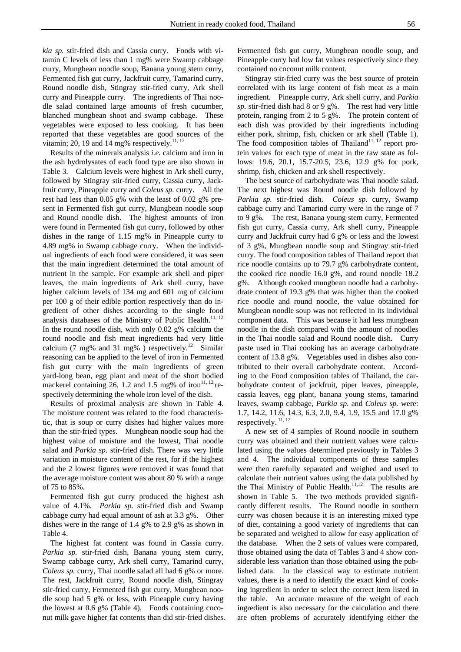*kia sp.* stir-fried dish and Cassia curry. Foods with vitamin C levels of less than 1 mg% were Swamp cabbage curry, Mungbean noodle soup, Banana young stem curry, Fermented fish gut curry, Jackfruit curry, Tamarind curry, Round noodle dish, Stingray stir-fried curry, Ark shell curry and Pineapple curry. The ingredients of Thai noodle salad contained large amounts of fresh cucumber, blanched mungbean shoot and swamp cabbage. These vegetables were exposed to less cooking. It has been reported that these vegetables are good sources of the vitamin; 20, 19 and 14 mg% respectively.<sup>11, 12</sup>

 Results of the minerals analysis *i.e.* calcium and iron in the ash hydrolysates of each food type are also shown in Table 3. Calcium levels were highest in Ark shell curry, followed by Stingray stir-fried curry, Cassia curry, Jackfruit curry, Pineapple curry and *Coleus sp.* curry. All the rest had less than 0.05 g% with the least of 0.02 g% present in Fermented fish gut curry, Mungbean noodle soup and Round noodle dish. The highest amounts of iron were found in Fermented fish gut curry, followed by other dishes in the range of 1.15 mg% in Pineapple curry to 4.89 mg% in Swamp cabbage curry. When the individual ingredients of each food were considered, it was seen that the main ingredient determined the total amount of nutrient in the sample. For example ark shell and piper leaves, the main ingredients of Ark shell curry, have higher calcium levels of 134 mg and 601 mg of calcium per 100 g of their edible portion respectively than do ingredient of other dishes according to the single food analysis databases of the Ministry of Public Health.<sup>11, 12</sup> In the round noodle dish, with only 0.02 g% calcium the round noodle and fish meat ingredients had very little calcium (7 mg% and 31 mg%) respectively.<sup>12</sup> Similar reasoning can be applied to the level of iron in Fermented fish gut curry with the main ingredients of green yard-long bean, egg plant and meat of the short bodied mackerel containing 26, 1.2 and 1.5 mg% of iron<sup>11, 12</sup> respectively determining the whole iron level of the dish.

 Results of proximal analysis are shown in Table 4. The moisture content was related to the food characteristic, that is soup or curry dishes had higher values more than the stir-fried types. Mungbean noodle soup had the highest value of moisture and the lowest, Thai noodle salad and *Parkia sp*. stir-fried dish. There was very little variation in moisture content of the rest, for if the highest and the 2 lowest figures were removed it was found that the average moisture content was about 80 % with a range of 75 to 85%.

 Fermented fish gut curry produced the highest ash value of 4.1%. *Parkia sp.* stir-fried dish and Swamp cabbage curry had equal amount of ash at 3.3 g%. Other dishes were in the range of 1.4 g% to 2.9 g% as shown in Table 4.

 The highest fat content was found in Cassia curry. *Parkia sp.* stir-fried dish, Banana young stem curry, Swamp cabbage curry, Ark shell curry, Tamarind curry, *Coleus sp.* curry, Thai noodle salad all had 6 g% or more. The rest, Jackfruit curry, Round noodle dish, Stingray stir-fried curry, Fermented fish gut curry, Mungbean noodle soup had 5 g% or less, with Pineapple curry having the lowest at 0.6 g% (Table 4). Foods containing coconut milk gave higher fat contents than did stir-fried dishes.

Fermented fish gut curry, Mungbean noodle soup, and Pineapple curry had low fat values respectively since they contained no coconut milk content.

 Stingray stir-fried curry was the best source of protein correlated with its large content of fish meat as a main ingredient. Pineapple curry, Ark shell curry, and *Parkia sp.* stir-fried dish had 8 or 9 g%. The rest had very little protein, ranging from 2 to 5 g%. The protein content of each dish was provided by their ingredients including either pork, shrimp, fish, chicken or ark shell (Table 1). The food composition tables of Thailand<sup>11, 12</sup> report protein values for each type of meat in the raw state as follows: 19.6, 20.1, 15.7-20.5, 23.6, 12.9 g% for pork, shrimp, fish, chicken and ark shell respectively.

 The best source of carbohydrate was Thai noodle salad. The next highest was Round noodle dish followed by *Parkia sp.* stir-fried dish. *Coleus sp.* curry, Swamp cabbage curry and Tamarind curry were in the range of 7 to 9 g%. The rest, Banana young stem curry, Fermented fish gut curry, Cassia curry, Ark shell curry, Pineapple curry and Jackfruit curry had 6 g% or less and the lowest of 3 g%, Mungbean noodle soup and Stingray stir-fried curry. The food composition tables of Thailand report that rice noodle contains up to 79.7 g% carbohydrate content, the cooked rice noodle 16.0 g%, and round noodle 18.2 g%. Although cooked mungbean noodle had a carbohydrate content of 19.3 g% that was higher than the cooked rice noodle and round noodle, the value obtained for Mungbean noodle soup was not reflected in its individual component data. This was because it had less mungbean noodle in the dish compared with the amount of noodles in the Thai noodle salad and Round noodle dish. Curry paste used in Thai cooking has an average carbohydrate content of 13.8 g%. Vegetables used in dishes also contributed to their overall carbohydrate content. According to the Food composition tables of Thailand, the carbohydrate content of jackfruit, piper leaves, pineapple, cassia leaves, egg plant, banana young stems, tamarind leaves, swamp cabbage, *Parkia sp*. and *Coleus sp.* were: 1.7, 14.2, 11.6, 14.3, 6.3, 2.0, 9.4, 1.9, 15.5 and 17.0 g% respectively.<sup>11, 12</sup>

 A new set of 4 samples of Round noodle in southern curry was obtained and their nutrient values were calculated using the values determined previously in Tables 3 and 4. The individual components of these samples were then carefully separated and weighed and used to calculate their nutrient values using the data published by the Thai Ministry of Public Health. $11,12$  The results are shown in Table 5. The two methods provided significantly different results. The Round noodle in southern curry was chosen because it is an interesting mixed type of diet, containing a good variety of ingredients that can be separated and weighed to allow for easy application of the database. When the 2 sets of values were compared, those obtained using the data of Tables 3 and 4 show considerable less variation than those obtained using the published data. In the classical way to estimate nutrient values, there is a need to identify the exact kind of cooking ingredient in order to select the correct item listed in the table. An accurate measure of the weight of each ingredient is also necessary for the calculation and there are often problems of accurately identifying either the